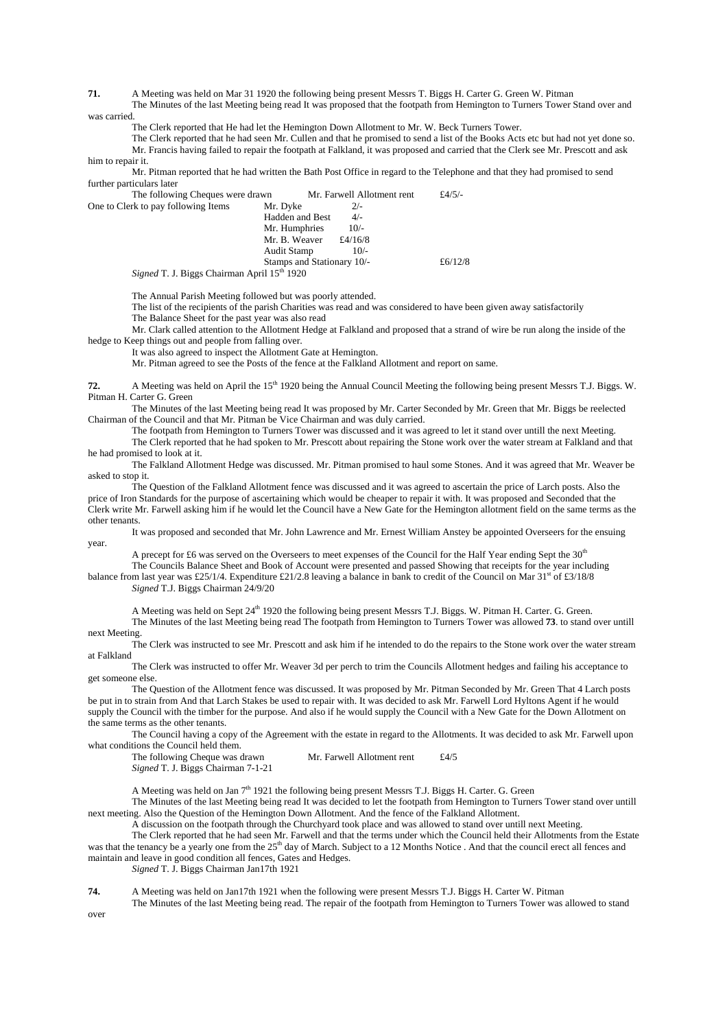**71.** A Meeting was held on Mar 31 1920 the following being present Messrs T. Biggs H. Carter G. Green W. Pitman

The Minutes of the last Meeting being read It was proposed that the footpath from Hemington to Turners Tower Stand over and was carried

The Clerk reported that He had let the Hemington Down Allotment to Mr. W. Beck Turners Tower.

The Clerk reported that he had seen Mr. Cullen and that he promised to send a list of the Books Acts etc but had not yet done so. Mr. Francis having failed to repair the footpath at Falkland, it was proposed and carried that the Clerk see Mr. Prescott and ask him to repair it.

Mr. Pitman reported that he had written the Bath Post Office in regard to the Telephone and that they had promised to send further particulars later

The following Cheques were drawn Mr. Farwell Allotment rent  $£4/5/-$ rk to pay following Items Mr. Dyke  $2/-$ One to Clerk to pay following Items Hadden and Best  $4/-$ <br>Mr. Humphries  $10/-$ Mr. Humphries 10/-<br>Mr. B. Weaver £4/16/8 Mr. B. Weaver  $\text{£}4/16/8$ <br>Audit Stamp  $10/4$ Audit Stamp Stamps and Stationary 10/-  $£6/12/8$ 

*Signed* T. J. Biggs Chairman April 15<sup>th</sup> 1920

The Annual Parish Meeting followed but was poorly attended.

The list of the recipients of the parish Charities was read and was considered to have been given away satisfactorily

The Balance Sheet for the past year was also read

Mr. Clark called attention to the Allotment Hedge at Falkland and proposed that a strand of wire be run along the inside of the hedge to Keep things out and people from falling over.

It was also agreed to inspect the Allotment Gate at Hemington.

Mr. Pitman agreed to see the Posts of the fence at the Falkland Allotment and report on same.

**72.** A Meeting was held on April the 15<sup>th</sup> 1920 being the Annual Council Meeting the following being present Messrs T.J. Biggs. W. Pitman H. Carter G. Green

The Minutes of the last Meeting being read It was proposed by Mr. Carter Seconded by Mr. Green that Mr. Biggs be reelected Chairman of the Council and that Mr. Pitman be Vice Chairman and was duly carried.

The footpath from Hemington to Turners Tower was discussed and it was agreed to let it stand over untill the next Meeting. The Clerk reported that he had spoken to Mr. Prescott about repairing the Stone work over the water stream at Falkland and that

he had promised to look at it.

The Falkland Allotment Hedge was discussed. Mr. Pitman promised to haul some Stones. And it was agreed that Mr. Weaver be asked to stop it.

The Question of the Falkland Allotment fence was discussed and it was agreed to ascertain the price of Larch posts. Also the price of Iron Standards for the purpose of ascertaining which would be cheaper to repair it with. It was proposed and Seconded that the Clerk write Mr. Farwell asking him if he would let the Council have a New Gate for the Hemington allotment field on the same terms as the other tenants.

It was proposed and seconded that Mr. John Lawrence and Mr. Ernest William Anstey be appointed Overseers for the ensuing year.

A precept for £6 was served on the Overseers to meet expenses of the Council for the Half Year ending Sept the 30<sup>th</sup> The Councils Balance Sheet and Book of Account were presented and passed Showing that receipts for the year including

balance from last year was £25/1/4. Expenditure £21/2.8 leaving a balance in bank to credit of the Council on Mar 31st of £3/18/8 *Signed* T.J. Biggs Chairman 24/9/20

A Meeting was held on Sept 24<sup>th</sup> 1920 the following being present Messrs T.J. Biggs. W. Pitman H. Carter. G. Green.

The Minutes of the last Meeting being read The footpath from Hemington to Turners Tower was allowed **73**. to stand over untill next Meeting.

The Clerk was instructed to see Mr. Prescott and ask him if he intended to do the repairs to the Stone work over the water stream at Falkland

The Clerk was instructed to offer Mr. Weaver 3d per perch to trim the Councils Allotment hedges and failing his acceptance to get someone else.

The Question of the Allotment fence was discussed. It was proposed by Mr. Pitman Seconded by Mr. Green That 4 Larch posts be put in to strain from And that Larch Stakes be used to repair with. It was decided to ask Mr. Farwell Lord Hyltons Agent if he would supply the Council with the timber for the purpose. And also if he would supply the Council with a New Gate for the Down Allotment on the same terms as the other tenants.

The Council having a copy of the Agreement with the estate in regard to the Allotments. It was decided to ask Mr. Farwell upon what conditions the Council held them.

The following Cheque was drawn Mr. Farwell Allotment rent £4/5 *Signed* T. J. Biggs Chairman 7-1-21

A Meeting was held on Jan  $7<sup>th</sup>$  1921 the following being present Messrs T.J. Biggs H. Carter. G. Green

The Minutes of the last Meeting being read It was decided to let the footpath from Hemington to Turners Tower stand over untill next meeting. Also the Question of the Hemington Down Allotment. And the fence of the Falkland Allotment.

A discussion on the footpath through the Churchyard took place and was allowed to stand over untill next Meeting.

The Clerk reported that he had seen Mr. Farwell and that the terms under which the Council held their Allotments from the Estate was that the tenancy be a yearly one from the 25<sup>th</sup> day of March. Subject to a 12 Months Notice . And that the council erect all fences and maintain and leave in good condition all fences, Gates and Hedges. *Signed* T. J. Biggs Chairman Jan17th 1921

**74.** A Meeting was held on Jan17th 1921 when the following were present Messrs T.J. Biggs H. Carter W. Pitman

The Minutes of the last Meeting being read. The repair of the footpath from Hemington to Turners Tower was allowed to stand over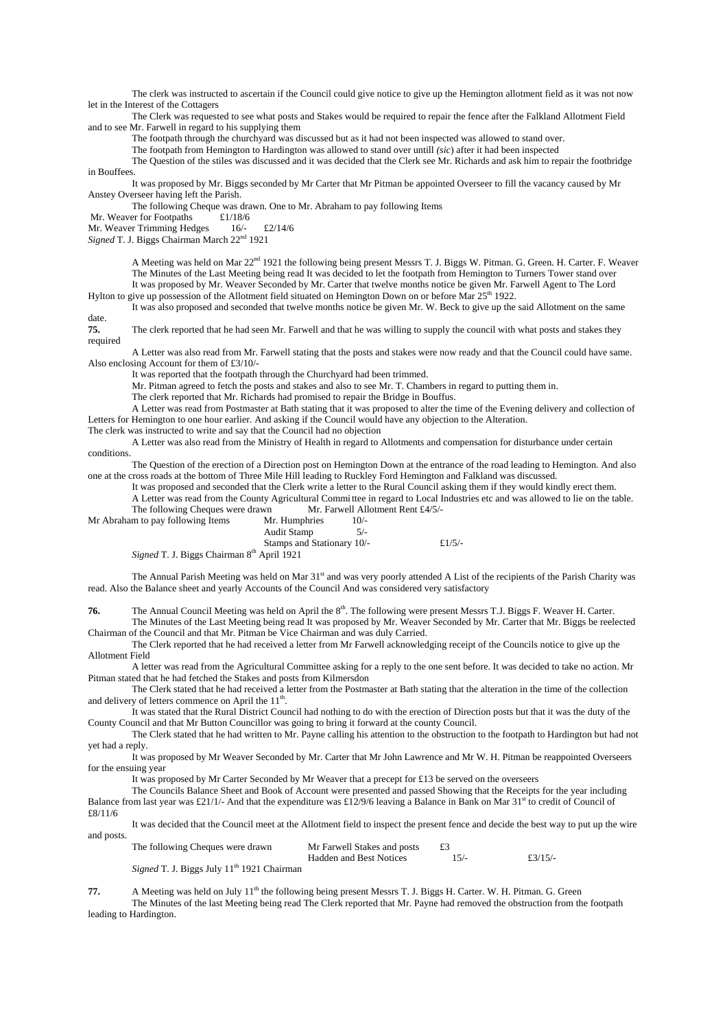The clerk was instructed to ascertain if the Council could give notice to give up the Hemington allotment field as it was not now let in the Interest of the Cottagers

The Clerk was requested to see what posts and Stakes would be required to repair the fence after the Falkland Allotment Field and to see Mr. Farwell in regard to his supplying them

The footpath through the churchyard was discussed but as it had not been inspected was allowed to stand over.

The footpath from Hemington to Hardington was allowed to stand over untill *(sic*) after it had been inspected

The Question of the stiles was discussed and it was decided that the Clerk see Mr. Richards and ask him to repair the footbridge in Bouffees.

It was proposed by Mr. Biggs seconded by Mr Carter that Mr Pitman be appointed Overseer to fill the vacancy caused by Mr Anstey Overseer having left the Parish.

The following Cheque was drawn. One to Mr. Abraham to pay following Items

Mr. Weaver for Footpaths £1/18/6

Mr. Weaver Trimming Hedges 16/- £2/14/6

*Signed* T. J. Biggs Chairman March 22nd 1921

A Meeting was held on Mar 22<sup>nd</sup> 1921 the following being present Messrs T. J. Biggs W. Pitman. G. Green. H. Carter. F. Weaver The Minutes of the Last Meeting being read It was decided to let the footpath from Hemington to Turners Tower stand over It was proposed by Mr. Weaver Seconded by Mr. Carter that twelve months notice be given Mr. Farwell Agent to The Lord

Hylton to give up possession of the Allotment field situated on Hemington Down on or before Mar 25<sup>th</sup> 1922.

It was also proposed and seconded that twelve months notice be given Mr. W. Beck to give up the said Allotment on the same

date.<br>75. **75.** The clerk reported that he had seen Mr. Farwell and that he was willing to supply the council with what posts and stakes they required

A Letter was also read from Mr. Farwell stating that the posts and stakes were now ready and that the Council could have same. Also enclosing Account for them of £3/10/-

It was reported that the footpath through the Churchyard had been trimmed.

Mr. Pitman agreed to fetch the posts and stakes and also to see Mr. T. Chambers in regard to putting them in.

The clerk reported that Mr. Richards had promised to repair the Bridge in Bouffus.

A Letter was read from Postmaster at Bath stating that it was proposed to alter the time of the Evening delivery and collection of Letters for Hemington to one hour earlier. And asking if the Council would have any objection to the Alteration.

The clerk was instructed to write and say that the Council had no objection

A Letter was also read from the Ministry of Health in regard to Allotments and compensation for disturbance under certain conditions.

The Question of the erection of a Direction post on Hemington Down at the entrance of the road leading to Hemington. And also one at the cross roads at the bottom of Three Mile Hill leading to Ruckley Ford Hemington and Falkland was discussed.

It was proposed and seconded that the Clerk write a letter to the Rural Council asking them if they would kindly erect them.

A Letter was read from the County Agricultural Commi ttee in regard to Local Industries etc and was allowed to lie on the table. The following Cheques were drawn Mr. Farwell Allotment Rent £4/5/-

| Mr Abraham to pay following Items                     | Mr. Humphries              | $10/-$ |           |
|-------------------------------------------------------|----------------------------|--------|-----------|
|                                                       | Audit Stamp                |        |           |
|                                                       | Stamps and Stationary 10/- |        | £ $1/5/-$ |
| $C: \ldots I$ T I D: $\ldots$ Chainman Oth Annil 1001 |                            |        |           |

Signed T. J. Biggs Chairman 8<sup>th</sup> April 1921

The Annual Parish Meeting was held on Mar 31<sup>st</sup> and was very poorly attended A List of the recipients of the Parish Charity was read. Also the Balance sheet and yearly Accounts of the Council And was considered very satisfactory

**76.** The Annual Council Meeting was held on April the 8<sup>th</sup>. The following were present Messrs T.J. Biggs F. Weaver H. Carter.

The Minutes of the Last Meeting being read It was proposed by Mr. Weaver Seconded by Mr. Carter that Mr. Biggs be reelected Chairman of the Council and that Mr. Pitman be Vice Chairman and was duly Carried.

The Clerk reported that he had received a letter from Mr Farwell acknowledging receipt of the Councils notice to give up the Allotment Field

A letter was read from the Agricultural Committee asking for a reply to the one sent before. It was decided to take no action. Mr Pitman stated that he had fetched the Stakes and posts from Kilmersdon

The Clerk stated that he had received a letter from the Postmaster at Bath stating that the alteration in the time of the collection and delivery of letters commence on April the  $11<sup>th</sup>$ .

It was stated that the Rural District Council had nothing to do with the erection of Direction posts but that it was the duty of the County Council and that Mr Button Councillor was going to bring it forward at the county Council.

The Clerk stated that he had written to Mr. Payne calling his attention to the obstruction to the footpath to Hardington but had not yet had a reply.

It was proposed by Mr Weaver Seconded by Mr. Carter that Mr John Lawrence and Mr W. H. Pitman be reappointed Overseers for the ensuing year

It was proposed by Mr Carter Seconded by Mr Weaver that a precept for £13 be served on the overseers

The Councils Balance Sheet and Book of Account were presented and passed Showing that the Receipts for the year including Balance from last year was £21/1/- And that the expenditure was £12/9/6 leaving a Balance in Bank on Mar 31<sup>st</sup> to credit of Council of £8/11/6

It was decided that the Council meet at the Allotment field to inspect the present fence and decide the best way to put up the wire and posts.

The following Cheques were drawn Mr Farwell Stakes and posts £3 Hadden and Best Notices 15/- £3/15/-*Signed* T. J. Biggs July 11<sup>th</sup> 1921 Chairman

**77.** A Meeting was held on July 11<sup>th</sup> the following being present Messrs T. J. Biggs H. Carter. W. H. Pitman. G. Green

The Minutes of the last Meeting being read The Clerk reported that Mr. Payne had removed the obstruction from the footpath leading to Hardington.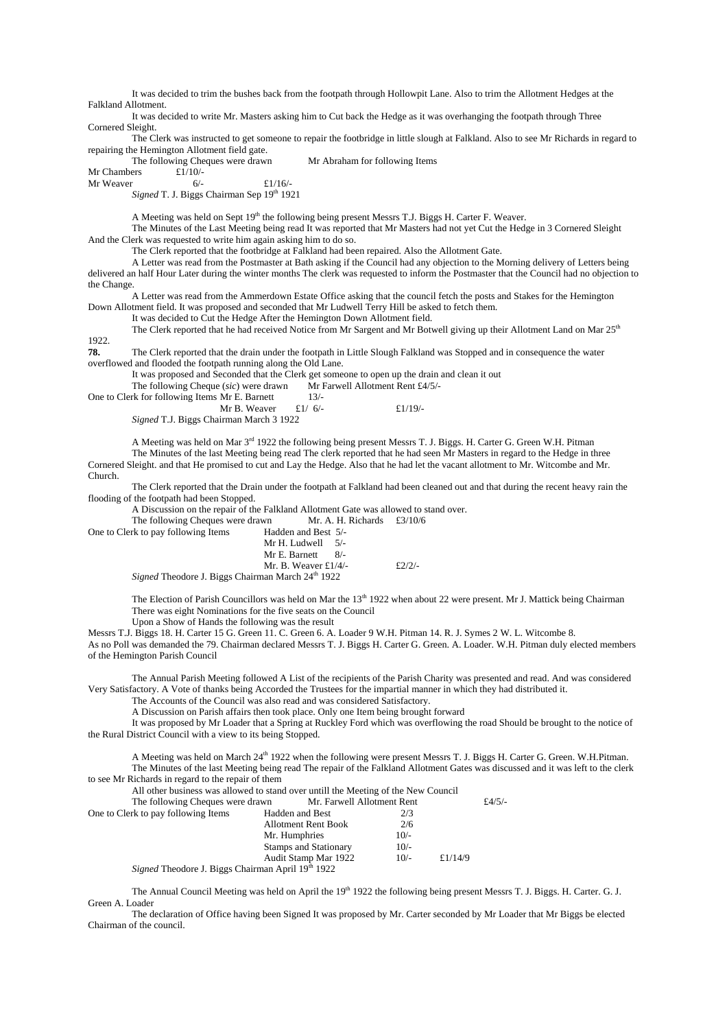It was decided to trim the bushes back from the footpath through Hollowpit Lane. Also to trim the Allotment Hedges at the Falkland Allotment.

It was decided to write Mr. Masters asking him to Cut back the Hedge as it was overhanging the footpath through Three Cornered Sleight.

The Clerk was instructed to get someone to repair the footbridge in little slough at Falkland. Also to see Mr Richards in regard to repairing the Hemington Allotment field gate.

The following Cheques were drawn Mr Abraham for following Items  $£1/10/2$ 

Mr Chambers  $\frac{f1}{10}$ -<br>Mr Weaver 6/-

Mr Weaver  $6/ 6/2$ 

*Signed* T. J. Biggs Chairman Sep 19th 1921

A Meeting was held on Sept 19<sup>th</sup> the following being present Messrs T.J. Biggs H. Carter F. Weaver.

The Minutes of the Last Meeting being read It was reported that Mr Masters had not yet Cut the Hedge in 3 Cornered Sleight And the Clerk was requested to write him again asking him to do so.

The Clerk reported that the footbridge at Falkland had been repaired. Also the Allotment Gate.

A Letter was read from the Postmaster at Bath asking if the Council had any objection to the Morning delivery of Letters being delivered an half Hour Later during the winter months The clerk was requested to inform the Postmaster that the Council had no objection to the Change.

A Letter was read from the Ammerdown Estate Office asking that the council fetch the posts and Stakes for the Hemington Down Allotment field. It was proposed and seconded that Mr Ludwell Terry Hill be asked to fetch them.

It was decided to Cut the Hedge After the Hemington Down Allotment field.

The Clerk reported that he had received Notice from Mr Sargent and Mr Botwell giving up their Allotment Land on Mar 25<sup>th</sup> 1922.

**78.** The Clerk reported that the drain under the footpath in Little Slough Falkland was Stopped and in consequence the water overflowed and flooded the footpath running along the Old Lane.

It was proposed and Seconded that the Clerk get someone to open up the drain and clean it out

The following Cheque (sic) were drawn Mr Farwell Allotment Rent £4/5/-

| One to Clerk for following Items Mr E. Barnett | $13/-$ |
|------------------------------------------------|--------|
|------------------------------------------------|--------|

| Mr B. Weaver | £1/ $6/-$ | £ $1/19/$ - |
|--------------|-----------|-------------|
|              |           |             |

*Signed* T.J. Biggs Chairman March 3 1922

A Meeting was held on Mar 3<sup>rd</sup> 1922 the following being present Messrs T. J. Biggs. H. Carter G. Green W.H. Pitman

The Minutes of the last Meeting being read The clerk reported that he had seen Mr Masters in regard to the Hedge in three Cornered Sleight. and that He promised to cut and Lay the Hedge. Also that he had let the vacant allotment to Mr. Witcombe and Mr. Church.

The Clerk reported that the Drain under the footpath at Falkland had been cleaned out and that during the recent heavy rain the flooding of the footpath had been Stopped.

A Discussion on the repair of the Falkland Allotment Gate was allowed to stand over.

The following Cheques were drawn Mr. A. H. Richards  $£3/10/6$ One to Clerk to pay following Items

| One to Clerk to pay following Items                             | Hadden and Best 5/-           |          |
|-----------------------------------------------------------------|-------------------------------|----------|
|                                                                 | Mr H. Ludwell $5/-$           |          |
|                                                                 | Mr E. Barnett<br>R/2          |          |
|                                                                 | Mr. B. Weaver $\pounds 1/4/-$ | $f2/2/-$ |
| $C_{2}$ $\sim$ $J$ Theodore I. Biggs Choisman Moral $24th$ 1022 |                               |          |

*Signed* Theodore J. Biggs Chairman March 24<sup>th</sup> 1922

The Election of Parish Councillors was held on Mar the 13<sup>th</sup> 1922 when about 22 were present. Mr J. Mattick being Chairman There was eight Nominations for the five seats on the Council

Upon a Show of Hands the following was the result

Messrs T.J. Biggs 18. H. Carter 15 G. Green 11. C. Green 6. A. Loader 9 W.H. Pitman 14. R. J. Symes 2 W. L. Witcombe 8. As no Poll was demanded the 79. Chairman declared Messrs T. J. Biggs H. Carter G. Green. A. Loader. W.H. Pitman duly elected members of the Hemington Parish Council

The Annual Parish Meeting followed A List of the recipients of the Parish Charity was presented and read. And was considered Very Satisfactory. A Vote of thanks being Accorded the Trustees for the impartial manner in which they had distributed it.

The Accounts of the Council was also read and was considered Satisfactory.

A Discussion on Parish affairs then took place. Only one Item being brought forward

It was proposed by Mr Loader that a Spring at Ruckley Ford which was overflowing the road Should be brought to the notice of the Rural District Council with a view to its being Stopped.

A Meeting was held on March 24<sup>th</sup> 1922 when the following were present Messrs T. J. Biggs H. Carter G. Green. W.H.Pitman. The Minutes of the last Meeting being read The repair of the Falkland Allotment Gates was discussed and it was left to the clerk to see Mr Richards in regard to the repair of them

All other business was allowed to stand over untill the Meeting of the New Council

| The following Cheques were drawn                                     | Mr. Farwell Allotment Rent   |        |            | £4/5/- |
|----------------------------------------------------------------------|------------------------------|--------|------------|--------|
| One to Clerk to pay following Items                                  | Hadden and Best              | 2/3    |            |        |
|                                                                      | Allotment Rent Book          | 2/6    |            |        |
|                                                                      | Mr. Humphries                | $10/-$ |            |        |
|                                                                      | <b>Stamps and Stationary</b> | $10/-$ |            |        |
|                                                                      | Audit Stamp Mar 1922         | $10/-$ | £ $1/14/9$ |        |
| <i>Signed</i> Theodore J. Biggs Chairman April 19 <sup>th</sup> 1922 |                              |        |            |        |

The Annual Council Meeting was held on April the 19<sup>th</sup> 1922 the following being present Messrs T. J. Biggs. H. Carter. G. J. Green A. Loader

The declaration of Office having been Signed It was proposed by Mr. Carter seconded by Mr Loader that Mr Biggs be elected Chairman of the council.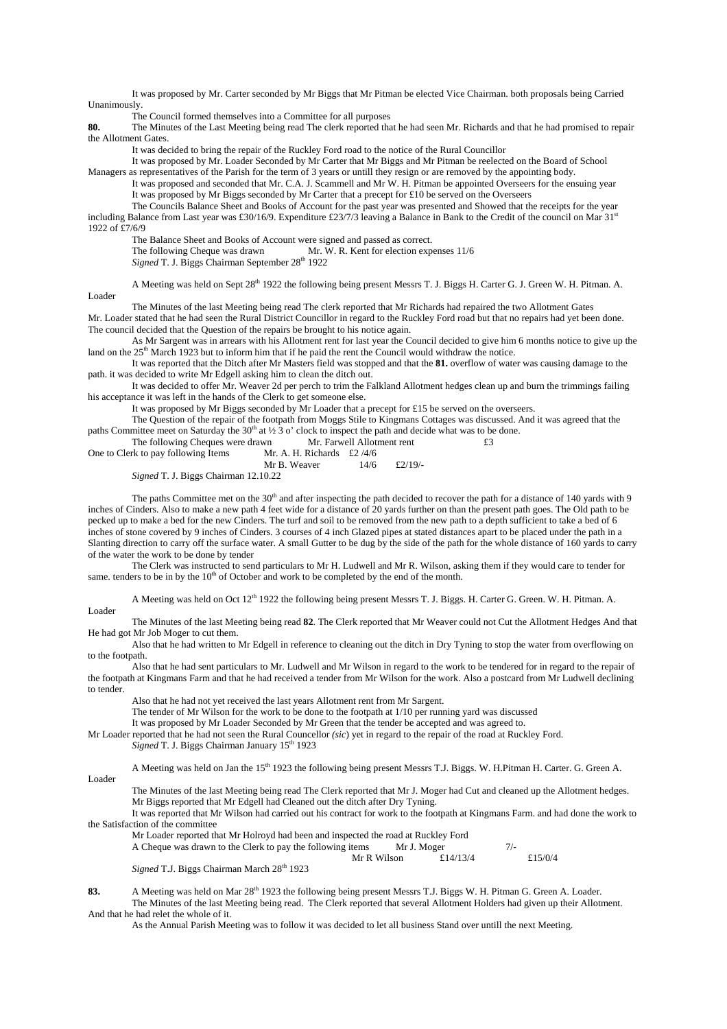It was proposed by Mr. Carter seconded by Mr Biggs that Mr Pitman be elected Vice Chairman. both proposals being Carried Unanimously.

The Council formed themselves into a Committee for all purposes

**80.** The Minutes of the Last Meeting being read The clerk reported that he had seen Mr. Richards and that he had promised to repair the Allotment Gates.

It was decided to bring the repair of the Ruckley Ford road to the notice of the Rural Councillor

It was proposed by Mr. Loader Seconded by Mr Carter that Mr Biggs and Mr Pitman be reelected on the Board of School Managers as representatives of the Parish for the term of 3 years or untill they resign or are removed by the appointing body.

It was proposed and seconded that Mr. C.A. J. Scammell and Mr W. H. Pitman be appointed Overseers for the ensuing year It was proposed by Mr Biggs seconded by Mr Carter that a precept for £10 be served on the Overseers

The Councils Balance Sheet and Books of Account for the past year was presented and Showed that the receipts for the year including Balance from Last year was £30/16/9. Expenditure £23/7/3 leaving a Balance in Bank to the Credit of the council on Mar 31st 1922 of £7/6/9

The Balance Sheet and Books of Account were signed and passed as correct.<br>The following Cheque was drawn Mr. W. R. Kent for election exp Mr. W. R. Kent for election expenses 11/6

*Signed* T. J. Biggs Chairman September 28<sup>th</sup> 1922

A Meeting was held on Sept 28<sup>th</sup> 1922 the following being present Messrs T. J. Biggs H. Carter G. J. Green W. H. Pitman. A. Loader

The Minutes of the last Meeting being read The clerk reported that Mr Richards had repaired the two Allotment Gates Mr. Loader stated that he had seen the Rural District Councillor in regard to the Ruckley Ford road but that no repairs had yet been done.

The council decided that the Question of the repairs be brought to his notice again. As Mr Sargent was in arrears with his Allotment rent for last year the Council decided to give him 6 months notice to give up the

land on the 25<sup>th</sup> March 1923 but to inform him that if he paid the rent the Council would withdraw the notice. It was reported that the Ditch after Mr Masters field was stopped and that the **81.** overflow of water was causing damage to the

path. it was decided to write Mr Edgell asking him to clean the ditch out.

It was decided to offer Mr. Weaver 2d per perch to trim the Falkland Allotment hedges clean up and burn the trimmings failing his acceptance it was left in the hands of the Clerk to get someone else.

It was proposed by Mr Biggs seconded by Mr Loader that a precept for £15 be served on the overseers.

The Question of the repair of the footpath from Moggs Stile to Kingmans Cottages was discussed. And it was agreed that the paths Committee meet on Saturday the 30<sup>th</sup> at  $\frac{1}{2}$  3 o' clock to inspect the path and decide what was to be done.

The following Cheques were drawn Mr. Farwell Allotment rent  $\ddot{\bm{\epsilon}}$  and  $\ddot{\bm{\epsilon}}$  are following Items One to Clerk to pay following Items

| One to Clerk to pay following frems          | MI. A. $\Pi$ . Kienarus $L2/4/0$ |      |         |
|----------------------------------------------|----------------------------------|------|---------|
|                                              | Mr B. Weaver                     | 14/6 | £2/19/- |
| <i>Signed</i> T. J. Biggs Chairman 12.10.22. |                                  |      |         |

*Signed* T. J. Biggs

The paths Committee met on the  $30<sup>th</sup>$  and after inspecting the path decided to recover the path for a distance of 140 yards with 9 inches of Cinders. Also to make a new path 4 feet wide for a distance of 20 yards further on than the present path goes. The Old path to be pecked up to make a bed for the new Cinders. The turf and soil to be removed from the new path to a depth sufficient to take a bed of 6 inches of stone covered by 9 inches of Cinders. 3 courses of 4 inch Glazed pipes at stated distances apart to be placed under the path in a Slanting direction to carry off the surface water. A small Gutter to be dug by the side of the path for the whole distance of 160 yards to carry of the water the work to be done by tender

The Clerk was instructed to send particulars to Mr H. Ludwell and Mr R. Wilson, asking them if they would care to tender for same, tenders to be in by the  $10<sup>th</sup>$  of October and work to be completed by the end of the month.

A Meeting was held on Oct 12<sup>th</sup> 1922 the following being present Messrs T. J. Biggs. H. Carter G. Green. W. H. Pitman. A. Loader

The Minutes of the last Meeting being read **82**. The Clerk reported that Mr Weaver could not Cut the Allotment Hedges And that He had got Mr Job Moger to cut them.

Also that he had written to Mr Edgell in reference to cleaning out the ditch in Dry Tyning to stop the water from overflowing on to the footpath.

Also that he had sent particulars to Mr. Ludwell and Mr Wilson in regard to the work to be tendered for in regard to the repair of the footpath at Kingmans Farm and that he had received a tender from Mr Wilson for the work. Also a postcard from Mr Ludwell declining to tender.

Also that he had not yet received the last years Allotment rent from Mr Sargent.

The tender of Mr Wilson for the work to be done to the footpath at 1/10 per running yard was discussed

It was proposed by Mr Loader Seconded by Mr Green that the tender be accepted and was agreed to.

Mr Loader reported that he had not seen the Rural Councellor *(sic*) yet in regard to the repair of the road at Ruckley Ford.

*Signed* T. J. Biggs Chairman January 15<sup>th</sup> 1923

A Meeting was held on Jan the 15<sup>th</sup> 1923 the following being present Messrs T.J. Biggs. W. H.Pitman H. Carter. G. Green A. Loader

The Minutes of the last Meeting being read The Clerk reported that Mr J. Moger had Cut and cleaned up the Allotment hedges. Mr Biggs reported that Mr Edgell had Cleaned out the ditch after Dry Tyning.

It was reported that Mr Wilson had carried out his contract for work to the footpath at Kingmans Farm. and had done the work to the Satisfaction of the committee

Mr Loader reported that Mr Holroyd had been and inspected the road at Ruckley Ford A Cheque was drawn to the Clerk to pay the following items Mr J. Moger 7/-Mr R Wilson £14/13/4 £15/0/4 Signed T.J. Biggs Chairman March 28<sup>th</sup> 1923

83. A Meeting was held on Mar 28<sup>th</sup> 1923 the following being present Messrs T.J. Biggs W. H. Pitman G. Green A. Loader.

The Minutes of the last Meeting being read. The Clerk reported that several Allotment Holders had given up their Allotment. And that he had relet the whole of it.

As the Annual Parish Meeting was to follow it was decided to let all business Stand over untill the next Meeting.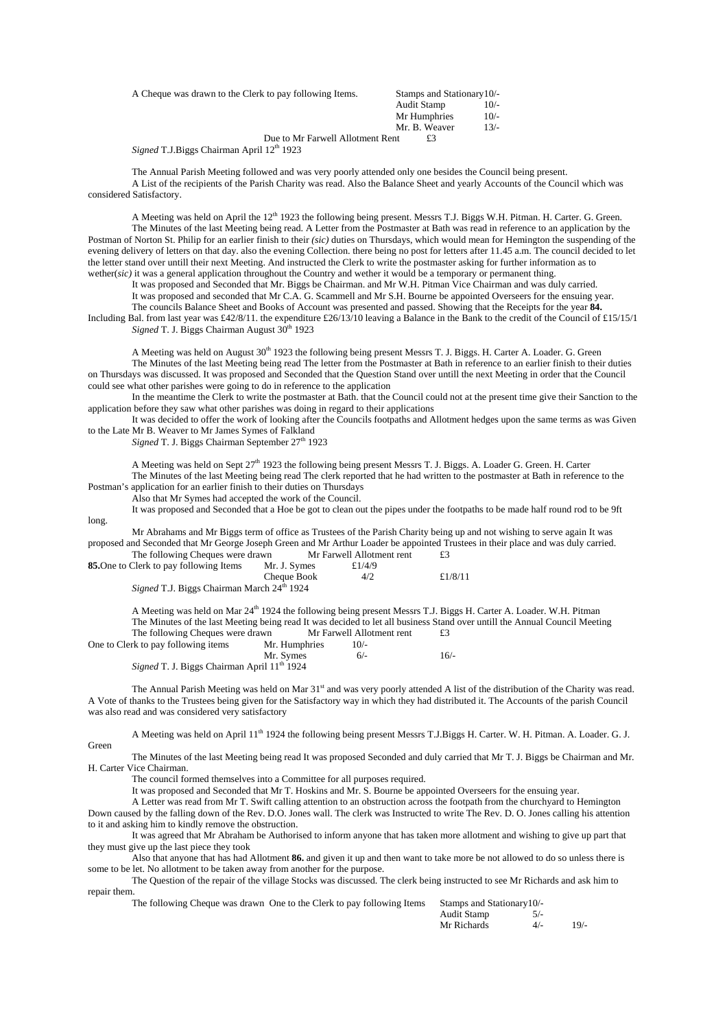| A Cheque was drawn to the Clerk to pay following Items. | Stamps and Stationary 10/- |        |
|---------------------------------------------------------|----------------------------|--------|
|                                                         | Audit Stamp                | $10/-$ |
|                                                         | Mr Humphries               | $10/-$ |
|                                                         | Mr. B. Weaver              | $13/-$ |
| Due to Mr Farwell Allotment Rent                        | £3                         |        |
| Signed T.J.Biggs Chairman April 12th 1923               |                            |        |

The Annual Parish Meeting followed and was very poorly attended only one besides the Council being present. A List of the recipients of the Parish Charity was read. Also the Balance Sheet and yearly Accounts of the Council which was considered Satisfactory.

A Meeting was held on April the 12<sup>th</sup> 1923 the following being present. Messrs T.J. Biggs W.H. Pitman. H. Carter. G. Green. The Minutes of the last Meeting being read. A Letter from the Postmaster at Bath was read in reference to an application by the Postman of Norton St. Philip for an earlier finish to their *(sic)* duties on Thursdays, which would mean for Hemington the suspending of the evening delivery of letters on that day. also the evening Collection. there being no post for letters after 11.45 a.m. The council decided to let the letter stand over untill their next Meeting. And instructed the Clerk to write the postmaster asking for further information as to wether(*sic)* it was a general application throughout the Country and wether it would be a temporary or permanent thing.

It was proposed and Seconded that Mr. Biggs be Chairman. and Mr W.H. Pitman Vice Chairman and was duly carried.

It was proposed and seconded that Mr C.A. G. Scammell and Mr S.H. Bourne be appointed Overseers for the ensuing year.

The councils Balance Sheet and Books of Account was presented and passed. Showing that the Receipts for the year **84.** Including Bal. from last year was £42/8/11. the expenditure £26/13/10 leaving a Balance in the Bank to the credit of the Council of £15/15/1 *Signed* T. J. Biggs Chairman August  $30<sup>th</sup> 1923$ 

A Meeting was held on August  $30<sup>th</sup>$  1923 the following being present Messrs T. J. Biggs. H. Carter A. Loader. G. Green The Minutes of the last Meeting being read The letter from the Postmaster at Bath in reference to an earlier finish to their duties on Thursdays was discussed. It was proposed and Seconded that the Question Stand over untill the next Meeting in order that the Council could see what other parishes were going to do in reference to the application

In the meantime the Clerk to write the postmaster at Bath. that the Council could not at the present time give their Sanction to the application before they saw what other parishes was doing in regard to their applications

It was decided to offer the work of looking after the Councils footpaths and Allotment hedges upon the same terms as was Given to the Late Mr B. Weaver to Mr James Symes of Falkland

Signed T. J. Biggs Chairman September 27<sup>th</sup> 1923

long.

A Meeting was held on Sept 27th 1923 the following being present Messrs T. J. Biggs. A. Loader G. Green. H. Carter The Minutes of the last Meeting being read The clerk reported that he had written to the postmaster at Bath in reference to the

Postman's application for an earlier finish to their duties on Thursdays Also that Mr Symes had accepted the work of the Council.

It was proposed and Seconded that a Hoe be got to clean out the pipes under the footpaths to be made half round rod to be 9ft

Mr Abrahams and Mr Biggs term of office as Trustees of the Parish Charity being up and not wishing to serve again It was proposed and Seconded that Mr George Joseph Green and Mr Arthur Loader be appointed Trustees in their place and was duly carried.<br>The following Cheques were drawn Mr Farwell Allotment rent f3 The following Cheques were drawn Mr Farwell Allotment rent  $f_3$ 

| The following eneques were drawn                              |              |           | $- - -$    |
|---------------------------------------------------------------|--------------|-----------|------------|
| <b>85.</b> One to Clerk to pay following Items                | Mr. J. Symes | £ $1/4/9$ |            |
|                                                               | Cheque Book  | 4/2       | £ $1/8/11$ |
| <i>Signed</i> T.J. Biggs Chairman March 24 <sup>th</sup> 1924 |              |           |            |

A Meeting was held on Mar 24<sup>th</sup> 1924 the following being present Messrs T.J. Biggs H. Carter A. Loader. W.H. Pitman The Minutes of the last Meeting being read It was decided to let all business Stand over untill the Annual Council Meeting<br>The following Cheques were drawn Mr Farwell Allotment rent  $\text{£3}$ The following Cheques were drawn Mr Farwell Allotment rent £3

| One to Clerk to pay following items                            | Mr. Humphries | $10/-$ |        |
|----------------------------------------------------------------|---------------|--------|--------|
|                                                                | Mr. Symes     | $6/-$  | $16/-$ |
| <i>Signed</i> T. J. Biggs Chairman April 11 <sup>th</sup> 1924 |               |        |        |

The Annual Parish Meeting was held on Mar 31<sup>st</sup> and was very poorly attended A list of the distribution of the Charity was read. A Vote of thanks to the Trustees being given for the Satisfactory way in which they had distributed it. The Accounts of the parish Council was also read and was considered very satisfactory

A Meeting was held on April  $11<sup>th</sup> 1924$  the following being present Messrs T.J.Biggs H. Carter. W. H. Pitman. A. Loader. G. J. Green

The Minutes of the last Meeting being read It was proposed Seconded and duly carried that Mr T. J. Biggs be Chairman and Mr. H. Carter Vice Chairman.

The council formed themselves into a Committee for all purposes required.

It was proposed and Seconded that Mr T. Hoskins and Mr. S. Bourne be appointed Overseers for the ensuing year.

A Letter was read from Mr T. Swift calling attention to an obstruction across the footpath from the churchyard to Hemington Down caused by the falling down of the Rev. D.O. Jones wall. The clerk was Instructed to write The Rev. D. O. Jones calling his attention to it and asking him to kindly remove the obstruction.

It was agreed that Mr Abraham be Authorised to inform anyone that has taken more allotment and wishing to give up part that they must give up the last piece they took

Also that anyone that has had Allotment **86.** and given it up and then want to take more be not allowed to do so unless there is some to be let. No allotment to be taken away from another for the purpose.

The Question of the repair of the village Stocks was discussed. The clerk being instructed to see Mr Richards and ask him to repair them.

The following Cheque was drawn One to the Clerk to pay following Items Stamps and Stationary 10/-

|  | The following Cheque was drawn One to the Clerk to pay following frems Stamps and Stationary 10/- |             |       |        |
|--|---------------------------------------------------------------------------------------------------|-------------|-------|--------|
|  |                                                                                                   | Audit Stamp |       |        |
|  |                                                                                                   | Mr Richards | $4/-$ | $19/-$ |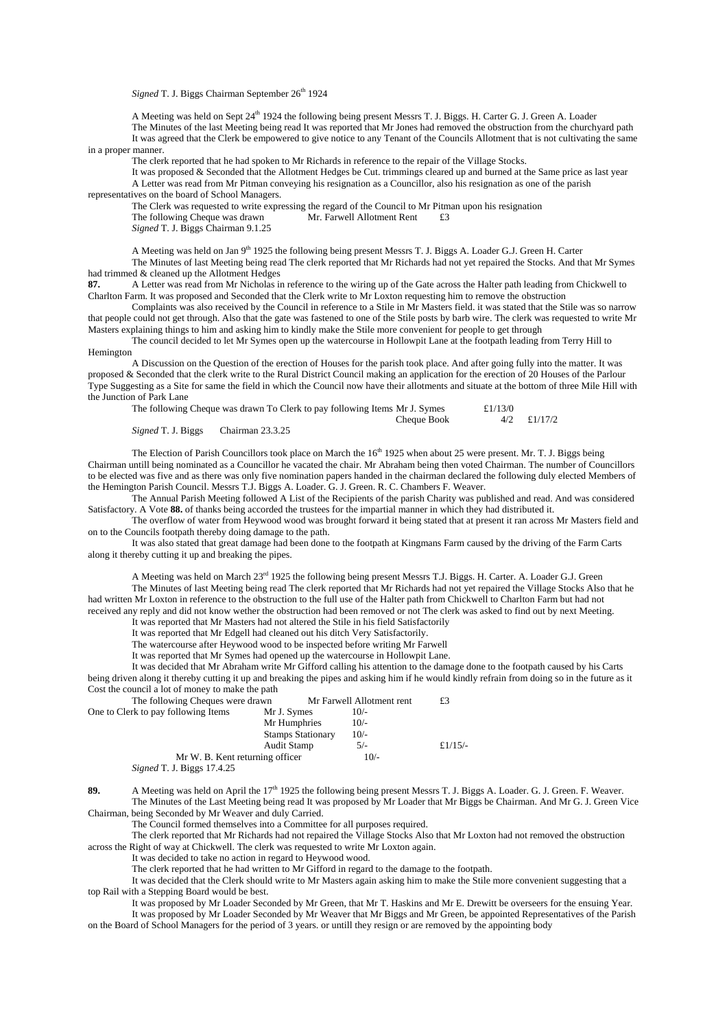*Signed* T. J. Biggs Chairman September 26<sup>th</sup> 1924

A Meeting was held on Sept 24<sup>th</sup> 1924 the following being present Messrs T. J. Biggs. H. Carter G. J. Green A. Loader The Minutes of the last Meeting being read It was reported that Mr Jones had removed the obstruction from the churchyard path It was agreed that the Clerk be empowered to give notice to any Tenant of the Councils Allotment that is not cultivating the same in a proper manner.

The clerk reported that he had spoken to Mr Richards in reference to the repair of the Village Stocks.

It was proposed & Seconded that the Allotment Hedges be Cut. trimmings cleared up and burned at the Same price as last year A Letter was read from Mr Pitman conveying his resignation as a Councillor, also his resignation as one of the parish representatives on the board of School Managers.

The Clerk was requested to write expressing the regard of the Council to Mr Pitman upon his resignation The following Cheque was drawn Mr. Farwell Allotment Rent £3 *Signed* T. J. Biggs Chairman 9.1.25

A Meeting was held on Jan 9<sup>th</sup> 1925 the following being present Messrs T. J. Biggs A. Loader G.J. Green H. Carter The Minutes of last Meeting being read The clerk reported that Mr Richards had not yet repaired the Stocks. And that Mr Symes had trimmed & cleaned up the Allotment Hedges

**87.** A Letter was read from Mr Nicholas in reference to the wiring up of the Gate across the Halter path leading from Chickwell to Charlton Farm. It was proposed and Seconded that the Clerk write to Mr Loxton requesting him to remove the obstruction

Complaints was also received by the Council in reference to a Stile in Mr Masters field. it was stated that the Stile was so narrow that people could not get through. Also that the gate was fastened to one of the Stile posts by barb wire. The clerk was requested to write Mr Masters explaining things to him and asking him to kindly make the Stile more convenient for people to get through

The council decided to let Mr Symes open up the watercourse in Hollowpit Lane at the footpath leading from Terry Hill to Hemington

A Discussion on the Question of the erection of Houses for the parish took place. And after going fully into the matter. It was proposed & Seconded that the clerk write to the Rural District Council making an application for the erection of 20 Houses of the Parlour Type Suggesting as a Site for same the field in which the Council now have their allotments and situate at the bottom of three Mile Hill with the Junction of Park Lane

|                                            | The following Cheque was drawn To Clerk to pay following Items Mr J. Symes | £ $1/13/0$ |               |  |
|--------------------------------------------|----------------------------------------------------------------------------|------------|---------------|--|
|                                            | Cheque Book                                                                |            | $4/2$ £1/17/2 |  |
| <i>Signed</i> T. J. Biggs Chairman 23.3.25 |                                                                            |            |               |  |

The Election of Parish Councillors took place on March the  $16<sup>th</sup> 1925$  when about 25 were present. Mr. T. J. Biggs being Chairman untill being nominated as a Councillor he vacated the chair. Mr Abraham being then voted Chairman. The number of Councillors to be elected was five and as there was only five nomination papers handed in the chairman declared the following duly elected Members of

the Hemington Parish Council. Messrs T.J. Biggs A. Loader. G. J. Green. R. C. Chambers F. Weaver. The Annual Parish Meeting followed A List of the Recipients of the parish Charity was published and read. And was considered Satisfactory. A Vote **88.** of thanks being accorded the trustees for the impartial manner in which they had distributed it.

The overflow of water from Heywood wood was brought forward it being stated that at present it ran across Mr Masters field and on to the Councils footpath thereby doing damage to the path.

It was also stated that great damage had been done to the footpath at Kingmans Farm caused by the driving of the Farm Carts along it thereby cutting it up and breaking the pipes.

A Meeting was held on March 23<sup>rd</sup> 1925 the following being present Messrs T.J. Biggs. H. Carter. A. Loader G.J. Green The Minutes of last Meeting being read The clerk reported that Mr Richards had not yet repaired the Village Stocks Also that he

had written Mr Loxton in reference to the obstruction to the full use of the Halter path from Chickwell to Charlton Farm but had not received any reply and did not know wether the obstruction had been removed or not The clerk was asked to find out by next Meeting. It was reported that Mr Masters had not altered the Stile in his field Satisfactorily

It was reported that Mr Edgell had cleaned out his ditch Very Satisfactorily.

The watercourse after Heywood wood to be inspected before writing Mr Farwell It was reported that Mr Symes had opened up the watercourse in Hollowpit Lane.

It was decided that Mr Abraham write Mr Gifford calling his attention to the damage done to the footpath caused by his Carts being driven along it thereby cutting it up and breaking the pipes and asking him if he would kindly refrain from doing so in the future as it

| Cost the council a lot of money to make the path |                          |                           |           |
|--------------------------------------------------|--------------------------|---------------------------|-----------|
| The following Cheques were drawn                 |                          | Mr Farwell Allotment rent | £3        |
| One to Clerk to pay following Items              | Mr J. Symes              | $10/-$                    |           |
|                                                  | Mr Humphries             | $10/-$                    |           |
|                                                  | <b>Stamps Stationary</b> | $10/-$                    |           |
|                                                  | Audit Stamp              | $5/-$                     | £ $1/15/$ |
| Mr W. B. Kent returning officer                  |                          | $10/-$                    |           |
| $-$                                              |                          |                           |           |

*Signed* T. J. Biggs 17.4.25

89. A Meeting was held on April the 17<sup>th</sup> 1925 the following being present Messrs T. J. Biggs A. Loader. G. J. Green. F. Weaver. The Minutes of the Last Meeting being read It was proposed by Mr Loader that Mr Biggs be Chairman. And Mr G. J. Green Vice Chairman, being Seconded by Mr Weaver and duly Carried.

The Council formed themselves into a Committee for all purposes required.

The clerk reported that Mr Richards had not repaired the Village Stocks Also that Mr Loxton had not removed the obstruction across the Right of way at Chickwell. The clerk was requested to write Mr Loxton again.

It was decided to take no action in regard to Heywood wood.

The clerk reported that he had written to Mr Gifford in regard to the damage to the footpath.

It was decided that the Clerk should write to Mr Masters again asking him to make the Stile more convenient suggesting that a top Rail with a Stepping Board would be best.

It was proposed by Mr Loader Seconded by Mr Green, that Mr T. Haskins and Mr E. Drewitt be overseers for the ensuing Year. It was proposed by Mr Loader Seconded by Mr Weaver that Mr Biggs and Mr Green, be appointed Representatives of the Parish

on the Board of School Managers for the period of 3 years. or untill they resign or are removed by the appointing body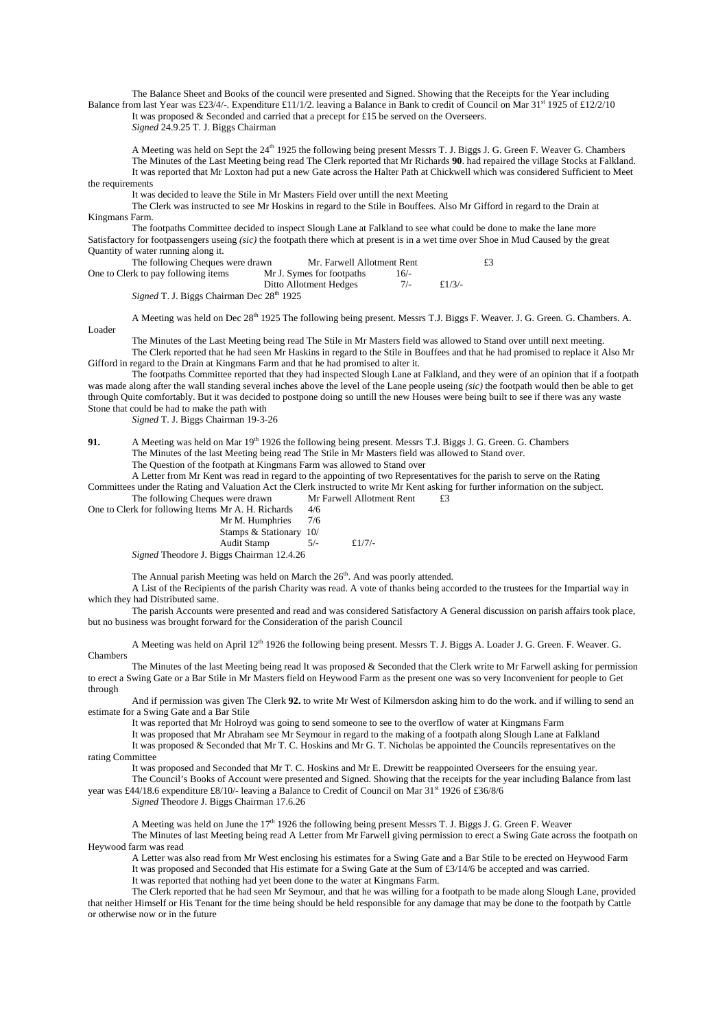The Balance Sheet and Books of the council were presented and Signed. Showing that the Receipts for the Year including Balance from last Year was £23/4/-. Expenditure £11/1/2. leaving a Balance in Bank to credit of Council on Mar 31<sup>st</sup> 1925 of £12/2/10

It was proposed & Seconded and carried that a precept for £15 be served on the Overseers.

*Signed* 24.9.25 T. J. Biggs Chairman

A Meeting was held on Sept the 24<sup>th</sup> 1925 the following being present Messrs T. J. Biggs J. G. Green F. Weaver G. Chambers The Minutes of the Last Meeting being read The Clerk reported that Mr Richards **90**. had repaired the village Stocks at Falkland. It was reported that Mr Loxton had put a new Gate across the Halter Path at Chickwell which was considered Sufficient to Meet the requirements

It was decided to leave the Stile in Mr Masters Field over untill the next Meeting

 The Clerk was instructed to see Mr Hoskins in regard to the Stile in Bouffees. Also Mr Gifford in regard to the Drain at Kingmans Farm.

The footpaths Committee decided to inspect Slough Lane at Falkland to see what could be done to make the lane more Satisfactory for footpassengers useing *(sic)* the footpath there which at present is in a wet time over Shoe in Mud Caused by the great Quantity of water running along it.

| The following Cheques were drawn    | Mr. Farwell Allotment Rent |        |           | £3 |
|-------------------------------------|----------------------------|--------|-----------|----|
| One to Clerk to pay following items | Mr J. Symes for footpaths  | $16/-$ |           |    |
|                                     | Ditto Allotment Hedges     |        | $f.1/3/-$ |    |
|                                     | سست من طاقت س              |        |           |    |

*Signed* T. J. Biggs Chairman Dec 28<sup>th</sup> 1925

A Meeting was held on Dec 28<sup>th</sup> 1925 The following being present. Messrs T.J. Biggs F. Weaver. J. G. Green. G. Chambers. A. Loader

The Minutes of the Last Meeting being read The Stile in Mr Masters field was allowed to Stand over untill next meeting. The Clerk reported that he had seen Mr Haskins in regard to the Stile in Bouffees and that he had promised to replace it Also Mr Gifford in regard to the Drain at Kingmans Farm and that he had promised to alter it.

The footpaths Committee reported that they had inspected Slough Lane at Falkland, and they were of an opinion that if a footpath was made along after the wall standing several inches above the level of the Lane people useing *(sic)* the footpath would then be able to get through Quite comfortably. But it was decided to postpone doing so untill the new Houses were being built to see if there was any waste Stone that could be had to make the path with

*Signed* T. J. Biggs Chairman 19-3-26

**91.** A Meeting was held on Mar 19<sup>th</sup> 1926 the following being present. Messrs T.J. Biggs J. G. Green. G. Chambers The Minutes of the last Meeting being read The Stile in Mr Masters field was allowed to Stand over. The Question of the footpath at Kingmans Farm was allowed to Stand over

A Letter from Mr Kent was read in regard to the appointing of two Representatives for the parish to serve on the Rating Committees under the Rating and Valuation Act the Clerk instructed to write Mr Kent asking for further information on the subject.

| The following Cheques were drawn                   |       | Mr Farwell Allotment Rent | £3 |
|----------------------------------------------------|-------|---------------------------|----|
| One to Clerk for following Items Mr A. H. Richards | 4/6   |                           |    |
| Mr M. Humphries                                    | 7/6   |                           |    |
| Stamps & Stationary 10/                            |       |                           |    |
| Audit Stamp                                        | $5/-$ | £ $1/7/2$                 |    |
| <i>Signed</i> Theodore J. Biggs Chairman 12.4.26   |       |                           |    |

The Annual parish Meeting was held on March the  $26<sup>th</sup>$ . And was poorly attended.

A List of the Recipients of the parish Charity was read. A vote of thanks being accorded to the trustees for the Impartial way in which they had Distributed same.

The parish Accounts were presented and read and was considered Satisfactory A General discussion on parish affairs took place, but no business was brought forward for the Consideration of the parish Council

A Meeting was held on April 12<sup>th</sup> 1926 the following being present. Messrs T. J. Biggs A. Loader J. G. Green. F. Weaver. G. Chambers

The Minutes of the last Meeting being read It was proposed & Seconded that the Clerk write to Mr Farwell asking for permission to erect a Swing Gate or a Bar Stile in Mr Masters field on Heywood Farm as the present one was so very Inconvenient for people to Get through

And if permission was given The Clerk **92.** to write Mr West of Kilmersdon asking him to do the work. and if willing to send an estimate for a Swing Gate and a Bar Stile

It was reported that Mr Holroyd was going to send someone to see to the overflow of water at Kingmans Farm

It was proposed that Mr Abraham see Mr Seymour in regard to the making of a footpath along Slough Lane at Falkland It was proposed & Seconded that Mr T. C. Hoskins and Mr G. T. Nicholas be appointed the Councils representatives on the

rating Committee

It was proposed and Seconded that Mr T. C. Hoskins and Mr E. Drewitt be reappointed Overseers for the ensuing year.

The Council's Books of Account were presented and Signed. Showing that the receipts for the year including Balance from last year was £44/18.6 expenditure £8/10/- leaving a Balance to Credit of Council on Mar 31<sup>st</sup> 1926 of £36/8/6

*Signed* Theodore J. Biggs Chairman 17.6.26

A Meeting was held on June the  $17<sup>th</sup> 1926$  the following being present Messrs T. J. Biggs J. G. Green F. Weaver The Minutes of last Meeting being read A Letter from Mr Farwell giving permission to erect a Swing Gate across the footpath on Heywood farm was read

A Letter was also read from Mr West enclosing his estimates for a Swing Gate and a Bar Stile to be erected on Heywood Farm It was proposed and Seconded that His estimate for a Swing Gate at the Sum of £3/14/6 be accepted and was carried. It was reported that nothing had yet been done to the water at Kingmans Farm.

The Clerk reported that he had seen Mr Seymour, and that he was willing for a footpath to be made along Slough Lane, provided that neither Himself or His Tenant for the time being should be held responsible for any damage that may be done to the footpath by Cattle or otherwise now or in the future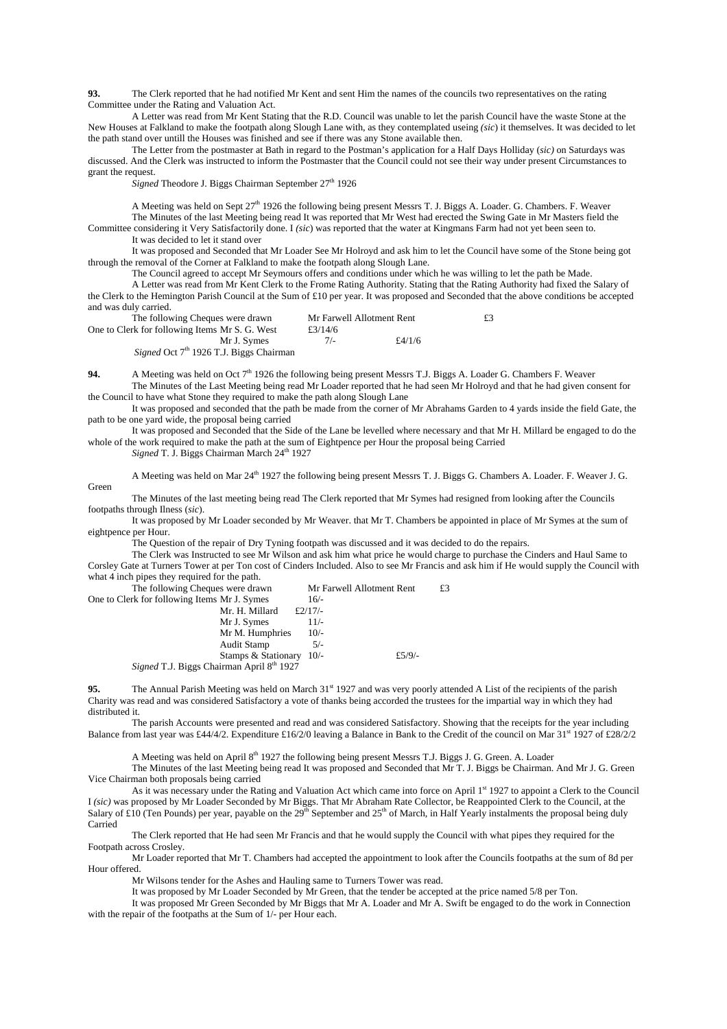**93.** The Clerk reported that he had notified Mr Kent and sent Him the names of the councils two representatives on the rating Committee under the Rating and Valuation Act.

A Letter was read from Mr Kent Stating that the R.D. Council was unable to let the parish Council have the waste Stone at the New Houses at Falkland to make the footpath along Slough Lane with, as they contemplated useing *(sic*) it themselves. It was decided to let the path stand over untill the Houses was finished and see if there was any Stone available then.

The Letter from the postmaster at Bath in regard to the Postman's application for a Half Days Holliday (*sic)* on Saturdays was discussed. And the Clerk was instructed to inform the Postmaster that the Council could not see their way under present Circumstances to grant the request.

Signed Theodore J. Biggs Chairman September 27<sup>th</sup> 1926

A Meeting was held on Sept 27th 1926 the following being present Messrs T. J. Biggs A. Loader. G. Chambers. F. Weaver The Minutes of the last Meeting being read It was reported that Mr West had erected the Swing Gate in Mr Masters field the Committee considering it Very Satisfactorily done. I *(sic*) was reported that the water at Kingmans Farm had not yet been seen to. It was decided to let it stand over

It was proposed and Seconded that Mr Loader See Mr Holroyd and ask him to let the Council have some of the Stone being got through the removal of the Corner at Falkland to make the footpath along Slough Lane.

The Council agreed to accept Mr Seymours offers and conditions under which he was willing to let the path be Made.

A Letter was read from Mr Kent Clerk to the Frome Rating Authority. Stating that the Rating Authority had fixed the Salary of the Clerk to the Hemington Parish Council at the Sum of £10 per year. It was proposed and Seconded that the above conditions be accepted and was duly carried.

| The following Cheques were drawn                    | Mr Farwell Allotment Rent |        | £3 |
|-----------------------------------------------------|---------------------------|--------|----|
| One to Clerk for following Items Mr S. G. West      | £3/14/6                   |        |    |
| Mr J. Symes                                         | $7/-$                     | £4/1/6 |    |
| Signed Oct 7 <sup>th</sup> 1926 T.J. Biggs Chairman |                           |        |    |

**94.** A Meeting was held on Oct 7<sup>th</sup> 1926 the following being present Messrs T.J. Biggs A. Loader G. Chambers F. Weaver The Minutes of the Last Meeting being read Mr Loader reported that he had seen Mr Holroyd and that he had given consent for

the Council to have what Stone they required to make the path along Slough Lane

It was proposed and seconded that the path be made from the corner of Mr Abrahams Garden to 4 yards inside the field Gate, the path to be one yard wide, the proposal being carried

It was proposed and Seconded that the Side of the Lane be levelled where necessary and that Mr H. Millard be engaged to do the whole of the work required to make the path at the sum of Eightpence per Hour the proposal being Carried

*Signed* T. J. Biggs Chairman March 24<sup>th</sup> 1927

Green

A Meeting was held on Mar 24<sup>th</sup> 1927 the following being present Messrs T. J. Biggs G. Chambers A. Loader. F. Weaver J. G.

The Minutes of the last meeting being read The Clerk reported that Mr Symes had resigned from looking after the Councils footpaths through Ilness (*sic*).

It was proposed by Mr Loader seconded by Mr Weaver. that Mr T. Chambers be appointed in place of Mr Symes at the sum of eightpence per Hour.

The Question of the repair of Dry Tyning footpath was discussed and it was decided to do the repairs.

The Clerk was Instructed to see Mr Wilson and ask him what price he would charge to purchase the Cinders and Haul Same to Corsley Gate at Turners Tower at per Ton cost of Cinders Included. Also to see Mr Francis and ask him if He would supply the Council with what 4 inch pipes they required for the path.

| The following Cheques were drawn             | Mr Farwell Allotment Rent                             | £3     |
|----------------------------------------------|-------------------------------------------------------|--------|
| One to Clerk for following Items Mr J. Symes | $16/-$                                                |        |
|                                              | £ $2/17/$<br>Mr. H. Millard                           |        |
| Mr J. Symes                                  | $11/-$                                                |        |
|                                              | Mr M. Humphries<br>$10/-$                             |        |
| Audit Stamp                                  | $5/-$                                                 |        |
|                                              | Stamps & Stationary 10/-                              | £5/9/- |
| $\sim$<br>$1 - 1$                            | $\alpha$ $\alpha$ $\alpha$ $\alpha$ $\alpha$ $\alpha$ |        |

*Signed* T.J. Biggs Chairman April 8<sup>th</sup> 1927

**95.** The Annual Parish Meeting was held on March 31<sup>st</sup> 1927 and was very poorly attended A List of the recipients of the parish Charity was read and was considered Satisfactory a vote of thanks being accorded the trustees for the impartial way in which they had distributed it.

The parish Accounts were presented and read and was considered Satisfactory. Showing that the receipts for the year including Balance from last year was £44/4/2. Expenditure £16/2/0 leaving a Balance in Bank to the Credit of the council on Mar 31<sup>st</sup> 1927 of £28/2/2

A Meeting was held on April 8<sup>th</sup> 1927 the following being present Messrs T.J. Biggs J. G. Green. A. Loader

The Minutes of the last Meeting being read It was proposed and Seconded that Mr T. J. Biggs be Chairman. And Mr J. G. Green Vice Chairman both proposals being carried

As it was necessary under the Rating and Valuation Act which came into force on April 1st 1927 to appoint a Clerk to the Council I *(sic)* was proposed by Mr Loader Seconded by Mr Biggs. That Mr Abraham Rate Collector, be Reappointed Clerk to the Council, at the Salary of £10 (Ten Pounds) per year, payable on the  $29<sup>th</sup>$  September and  $25<sup>th</sup>$  of March, in Half Yearly instalments the proposal being duly Carried

The Clerk reported that He had seen Mr Francis and that he would supply the Council with what pipes they required for the Footpath across Crosley.

Mr Loader reported that Mr T. Chambers had accepted the appointment to look after the Councils footpaths at the sum of 8d per Hour offered.

Mr Wilsons tender for the Ashes and Hauling same to Turners Tower was read.

It was proposed by Mr Loader Seconded by Mr Green, that the tender be accepted at the price named 5/8 per Ton.

It was proposed Mr Green Seconded by Mr Biggs that Mr A. Loader and Mr A. Swift be engaged to do the work in Connection with the repair of the footpaths at the Sum of 1/- per Hour each.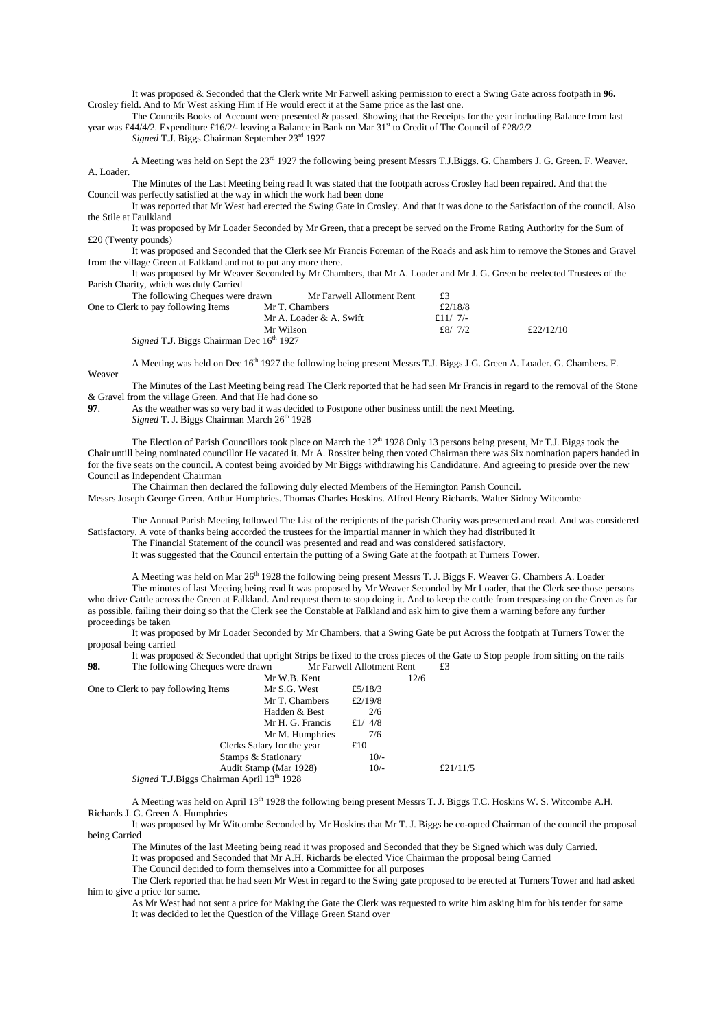It was proposed & Seconded that the Clerk write Mr Farwell asking permission to erect a Swing Gate across footpath in **96.** Crosley field. And to Mr West asking Him if He would erect it at the Same price as the last one.

The Councils Books of Account were presented & passed. Showing that the Receipts for the year including Balance from last year was £44/4/2. Expenditure £16/2/- leaving a Balance in Bank on Mar 31<sup>st</sup> to Credit of The Council of £28/2/2

*Signed* T.J. Biggs Chairman September 23rd 1927

A Meeting was held on Sept the 23rd 1927 the following being present Messrs T.J.Biggs. G. Chambers J. G. Green. F. Weaver. A. Loader.

The Minutes of the Last Meeting being read It was stated that the footpath across Crosley had been repaired. And that the Council was perfectly satisfied at the way in which the work had been done

It was reported that Mr West had erected the Swing Gate in Crosley. And that it was done to the Satisfaction of the council. Also the Stile at Faulkland

It was proposed by Mr Loader Seconded by Mr Green, that a precept be served on the Frome Rating Authority for the Sum of £20 (Twenty pounds)

It was proposed and Seconded that the Clerk see Mr Francis Foreman of the Roads and ask him to remove the Stones and Gravel from the village Green at Falkland and not to put any more there.

It was proposed by Mr Weaver Seconded by Mr Chambers, that Mr A. Loader and Mr J. G. Green be reelected Trustees of the Parish Charity, which was duly Carried

| The following Cheques were drawn                     | Mr Farwell Allotment Rent | £3          |           |
|------------------------------------------------------|---------------------------|-------------|-----------|
| One to Clerk to pay following Items                  | Mr T. Chambers            | £2/18/8     |           |
|                                                      | Mr A. Loader & A. Swift   | $f$ 11/ 7/- |           |
|                                                      | Mr Wilson                 | £8/ $7/2$   | £22/12/10 |
| Signed T.J. Biggs Chairman Dec 16 <sup>th</sup> 1927 |                           |             |           |

A Meeting was held on Dec 16<sup>th</sup> 1927 the following being present Messrs T.J. Biggs J.G. Green A. Loader. G. Chambers. F. Weaver

The Minutes of the Last Meeting being read The Clerk reported that he had seen Mr Francis in regard to the removal of the Stone & Gravel from the village Green. And that He had done so 97. As the weather was so very bad it was decided to

As the weather was so very bad it was decided to Postpone other business untill the next Meeting. Signed T. J. Biggs Chairman March 26<sup>th</sup> 1928

The Election of Parish Councillors took place on March the 12<sup>th</sup> 1928 Only 13 persons being present, Mr T.J. Biggs took the Chair untill being nominated councillor He vacated it. Mr A. Rossiter being then voted Chairman there was Six nomination papers handed in for the five seats on the council. A contest being avoided by Mr Biggs withdrawing his Candidature. And agreeing to preside over the new Council as Independent Chairman

The Chairman then declared the following duly elected Members of the Hemington Parish Council.

Messrs Joseph George Green. Arthur Humphries. Thomas Charles Hoskins. Alfred Henry Richards. Walter Sidney Witcombe

The Annual Parish Meeting followed The List of the recipients of the parish Charity was presented and read. And was considered Satisfactory. A vote of thanks being accorded the trustees for the impartial manner in which they had distributed it

The Financial Statement of the council was presented and read and was considered satisfactory.

It was suggested that the Council entertain the putting of a Swing Gate at the footpath at Turners Tower.

A Meeting was held on Mar 26<sup>th</sup> 1928 the following being present Messrs T. J. Biggs F. Weaver G. Chambers A. Loader

The minutes of last Meeting being read It was proposed by Mr Weaver Seconded by Mr Loader, that the Clerk see those persons who drive Cattle across the Green at Falkland. And request them to stop doing it. And to keep the cattle from trespassing on the Green as far as possible. failing their doing so that the Clerk see the Constable at Falkland and ask him to give them a warning before any further proceedings be taken

It was proposed by Mr Loader Seconded by Mr Chambers, that a Swing Gate be put Across the footpath at Turners Tower the proposal being carried

It was proposed & Seconded that upright Strips be fixed to the cross pieces of the Gate to Stop people from sitting on the rails<br>The following Cheques were drawn Mr Farwell Allotment Rent £3 **98.** The following Cheques were drawn Mr Farwell Allotment Rent £3

|                                                              | Mr W.B. Kent               |            | 12/6     |
|--------------------------------------------------------------|----------------------------|------------|----------|
| One to Clerk to pay following Items                          | Mr S.G. West               | £5/18/3    |          |
|                                                              | Mr T. Chambers             | £ $2/19/8$ |          |
|                                                              | Hadden & Best              | 2/6        |          |
|                                                              | Mr H. G. Francis           | £ $1/4/8$  |          |
|                                                              | Mr M. Humphries            | 7/6        |          |
|                                                              | Clerks Salary for the year | £ $10$     |          |
| Stamps & Stationary<br>Audit Stamp (Mar 1928)                |                            | $10/-$     |          |
|                                                              |                            | $10/-$     | £21/11/5 |
| <i>Signed</i> T.J.Biggs Chairman April 13 <sup>th</sup> 1928 |                            |            |          |

A Meeting was held on April 13<sup>th</sup> 1928 the following being present Messrs T. J. Biggs T.C. Hoskins W. S. Witcombe A.H. Richards J. G. Green A. Humphries

It was proposed by Mr Witcombe Seconded by Mr Hoskins that Mr T. J. Biggs be co-opted Chairman of the council the proposal being Carried

The Minutes of the last Meeting being read it was proposed and Seconded that they be Signed which was duly Carried.

It was proposed and Seconded that Mr A.H. Richards be elected Vice Chairman the proposal being Carried

The Council decided to form themselves into a Committee for all purposes

The Clerk reported that he had seen Mr West in regard to the Swing gate proposed to be erected at Turners Tower and had asked him to give a price for same.

As Mr West had not sent a price for Making the Gate the Clerk was requested to write him asking him for his tender for same It was decided to let the Question of the Village Green Stand over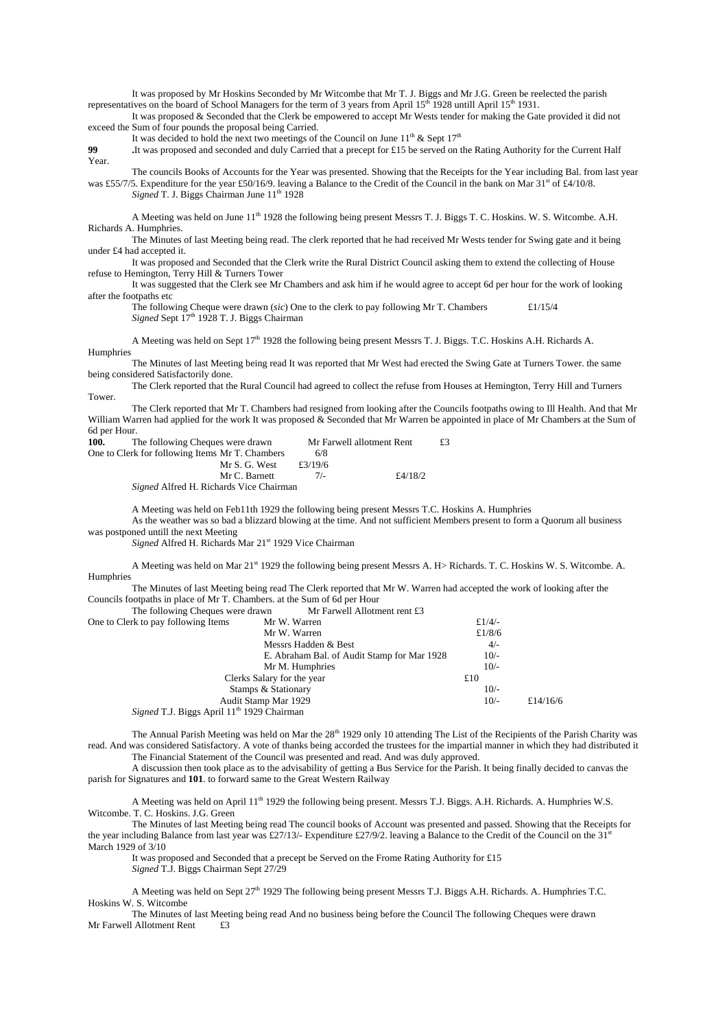It was proposed by Mr Hoskins Seconded by Mr Witcombe that Mr T. J. Biggs and Mr J.G. Green be reelected the parish representatives on the board of School Managers for the term of 3 years from April  $15<sup>th</sup>$  1928 untill April  $15<sup>th</sup>$  1931.

It was proposed & Seconded that the Clerk be empowered to accept Mr Wests tender for making the Gate provided it did not exceed the Sum of four pounds the proposal being Carried.

It was decided to hold the next two meetings of the Council on June  $11^{th}$  & Sept  $17^{th}$ 

**99 .**It was proposed and seconded and duly Carried that a precept for £15 be served on the Rating Authority for the Current Half Year.

The councils Books of Accounts for the Year was presented. Showing that the Receipts for the Year including Bal. from last year was £55/7/5. Expenditure for the year £50/16/9. leaving a Balance to the Credit of the Council in the bank on Mar 31st of £4/10/8. Signed T. J. Biggs Chairman June 11<sup>th</sup> 1928

A Meeting was held on June 11<sup>th</sup> 1928 the following being present Messrs T. J. Biggs T. C. Hoskins. W. S. Witcombe. A.H. Richards A. Humphries.

The Minutes of last Meeting being read. The clerk reported that he had received Mr Wests tender for Swing gate and it being under £4 had accepted it.

It was proposed and Seconded that the Clerk write the Rural District Council asking them to extend the collecting of House refuse to Hemington, Terry Hill & Turners Tower

It was suggested that the Clerk see Mr Chambers and ask him if he would agree to accept 6d per hour for the work of looking after the footpaths etc

The following Cheque were drawn (*sic*) One to the clerk to pay following Mr T. Chambers £1/15/4 *Signed* Sept 17<sup>th</sup> 1928 T. J. Biggs Chairman

A Meeting was held on Sept 17<sup>th</sup> 1928 the following being present Messrs T. J. Biggs. T.C. Hoskins A.H. Richards A. Humphries

The Minutes of last Meeting being read It was reported that Mr West had erected the Swing Gate at Turners Tower. the same being considered Satisfactorily done.

The Clerk reported that the Rural Council had agreed to collect the refuse from Houses at Hemington, Terry Hill and Turners Tower.

The Clerk reported that Mr T. Chambers had resigned from looking after the Councils footpaths owing to Ill Health. And that Mr William Warren had applied for the work It was proposed & Seconded that Mr Warren be appointed in place of Mr Chambers at the Sum of 6d per Hour.

| 100. | The following Cheques were drawn                |         | Mr Farwell allotment Rent | £3 |
|------|-------------------------------------------------|---------|---------------------------|----|
|      | One to Clerk for following Items Mr T. Chambers | 6/8     |                           |    |
|      | Mr S. G. West                                   | £3/19/6 |                           |    |
|      | Mr C. Barnett                                   | 7/2     | £4/18/2                   |    |
|      | <i>Signed</i> Alfred H. Richards Vice Chairman  |         |                           |    |

A Meeting was held on Feb11th 1929 the following being present Messrs T.C. Hoskins A. Humphries

As the weather was so bad a blizzard blowing at the time. And not sufficient Members present to form a Quorum all business was postponed untill the next Meeting

*Signed* Alfred H. Richards Mar 21st 1929 Vice Chairman

A Meeting was held on Mar 21<sup>st</sup> 1929 the following being present Messrs A. H> Richards. T. C. Hoskins W. S. Witcombe. A. Humphries

The Minutes of last Meeting being read The Clerk reported that Mr W. Warren had accepted the work of looking after the Councils footpaths in place of Mr T. Chambers. at the Sum of 6d per Hour

The following Cheques were drawn Mr Farwell Allotment rent £3<br>One to Clerk to pay following Items Mr W Warren

| One to Clerk to pay following Items                           | Mr W. Warren                                | £ $1/4/-$ |          |
|---------------------------------------------------------------|---------------------------------------------|-----------|----------|
|                                                               | Mr W. Warren                                | £ $1/8/6$ |          |
|                                                               | Messrs Hadden & Best                        | $4/-$     |          |
|                                                               | E. Abraham Bal. of Audit Stamp for Mar 1928 | $10/-$    |          |
|                                                               | Mr M. Humphries                             | $10/-$    |          |
|                                                               | Clerks Salary for the year                  | £10       |          |
|                                                               | Stamps & Stationary                         | $10/-$    |          |
| Audit Stamp Mar 1929                                          |                                             | $10/-$    | £14/16/6 |
| <i>Signed</i> T.J. Biggs April 11 <sup>th</sup> 1929 Chairman |                                             |           |          |
|                                                               |                                             |           |          |

The Annual Parish Meeting was held on Mar the  $28<sup>th</sup>$  1929 only 10 attending The List of the Recipients of the Parish Charity was read. And was considered Satisfactory. A vote of thanks being accorded the trustees for the impartial manner in which they had distributed it The Financial Statement of the Council was presented and read. And was duly approved.

A discussion then took place as to the advisability of getting a Bus Service for the Parish. It being finally decided to canvas the parish for Signatures and **101**. to forward same to the Great Western Railway

A Meeting was held on April 11<sup>th</sup> 1929 the following being present. Messrs T.J. Biggs. A.H. Richards. A. Humphries W.S. Witcombe. T. C. Hoskins. J.G. Green

The Minutes of last Meeting being read The council books of Account was presented and passed. Showing that the Receipts for the year including Balance from last year was £27/13/- Expenditure £27/9/2. leaving a Balance to the Credit of the Council on the 31<sup>s</sup> March 1929 of 3/10

It was proposed and Seconded that a precept be Served on the Frome Rating Authority for £15 *Signed* T.J. Biggs Chairman Sept 27/29

A Meeting was held on Sept  $27<sup>th</sup>$  1929 The following being present Messrs T.J. Biggs A.H. Richards. A. Humphries T.C. Hoskins W. S. Witcombe

The Minutes of last Meeting being read And no business being before the Council The following Cheques were drawn Mr Farwell Allotment Rent